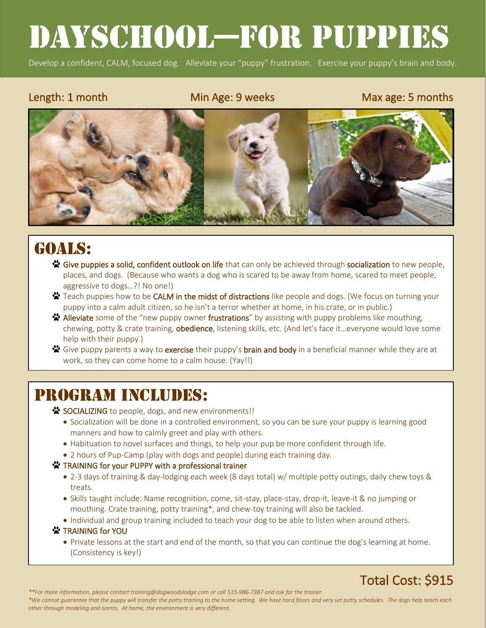# Dayschool—for puppies

Develop a confident, CALM, focused dog. Alleviate your "puppy" frustration. Exercise your puppy's brain and body.

l

#### Length: 1 month Min Age: 9 weeks Max age: 5 months



# GOALS:

- <del>**<sup>2</sup> Give puppies a solid, confident outlook on life** that can only be achieved through socialization to new people,</del> places, and dogs. (Because who wants a dog who is scared to be away from home, scared to meet people, aggressive to dogs…?! No one!)
- **<sup>₩</sup>** Teach puppies how to be **CALM in the midst of distractions** like people and dogs. (We focus on turning your puppy into a calm adult citizen, so he isn't a terror whether at home, in his crate, or in public.)
- <del>※</del> Alleviate some of the "new puppy owner frustrations" by assisting with puppy problems like mouthing, chewing, potty & crate training, **obedience**, listening skills, etc. (And let's face it...everyone would love some help with their puppy.)
- Give puppy parents a way to exercise their puppy's brain and body in a beneficial manner while they are at work, so they can come home to a calm house. (Yay!!)

# PROGRAM INCLUDES:

SOCIALIZING to people, dogs, and new environments!!

- Socialization will be done in a controlled environment, so you can be sure your puppy is learning good manners and how to calmly greet and play with others.
- Habituation to novel surfaces and things, to help your pup be more confident through life.
- 2 hours of Pup-Camp (play with dogs and people) during each training day.
- **X** TRAINING for your PUPPY with a professional trainer
	- 2-3 days of training & day-lodging each week (8 days total) w/ multiple potty outings, daily chew toys & treats.
	- Skills taught include: Name recognition, come, sit-stay, place-stay, drop-it, leave-it & no jumping or mouthing. Crate training, potty training\*, and chew-toy training will also be tackled.
	- Individual and group training included to teach your dog to be able to listen when around others.

#### **X** TRAINING for YOU

• Private lessons at the start and end of the month, so that you can continue the dog's learning at home. (Consistency is key!)